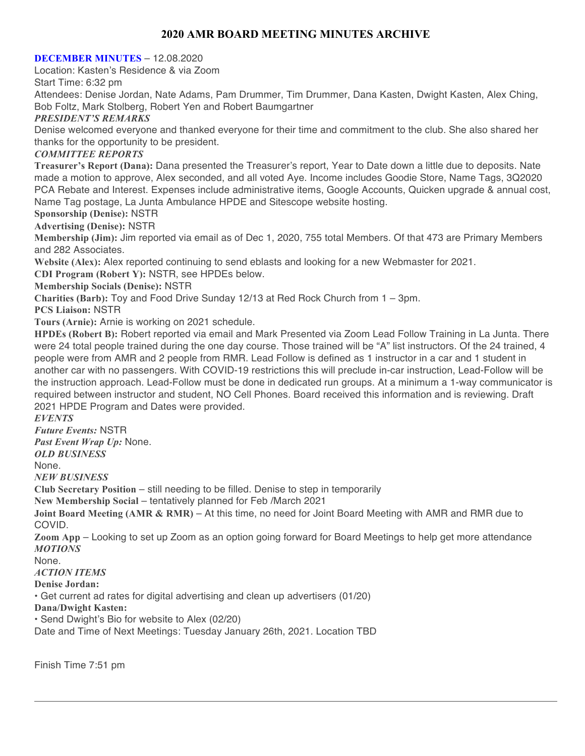# **2020 AMR BOARD MEETING MINUTES ARCHIVE**

#### **DECEMBER MINUTES** – 12.08.2020

Location: Kasten's Residence & via Zoom

Start Time: 6:32 pm

Attendees: Denise Jordan, Nate Adams, Pam Drummer, Tim Drummer, Dana Kasten, Dwight Kasten, Alex Ching, Bob Foltz, Mark Stolberg, Robert Yen and Robert Baumgartner

#### *PRESIDENT'S REMARKS*

Denise welcomed everyone and thanked everyone for their time and commitment to the club. She also shared her thanks for the opportunity to be president.

#### *COMMITTEE REPORTS*

**Treasurer's Report (Dana):** Dana presented the Treasurer's report, Year to Date down a little due to deposits. Nate made a motion to approve, Alex seconded, and all voted Aye. Income includes Goodie Store, Name Tags, 3Q2020 PCA Rebate and Interest. Expenses include administrative items, Google Accounts, Quicken upgrade & annual cost, Name Tag postage, La Junta Ambulance HPDE and Sitescope website hosting.

#### **Sponsorship (Denise):** NSTR

**Advertising (Denise):** NSTR

**Membership (Jim):** Jim reported via email as of Dec 1, 2020, 755 total Members. Of that 473 are Primary Members and 282 Associates.

**Website (Alex):** Alex reported continuing to send eblasts and looking for a new Webmaster for 2021.

**CDI Program (Robert Y):** NSTR, see HPDEs below.

**Membership Socials (Denise):** NSTR

**Charities (Barb):** Toy and Food Drive Sunday 12/13 at Red Rock Church from 1 – 3pm.

**PCS Liaison:** NSTR

**Tours (Arnie):** Arnie is working on 2021 schedule.

**HPDEs (Robert B):** Robert reported via email and Mark Presented via Zoom Lead Follow Training in La Junta. There were 24 total people trained during the one day course. Those trained will be "A" list instructors. Of the 24 trained, 4 people were from AMR and 2 people from RMR. Lead Follow is defined as 1 instructor in a car and 1 student in another car with no passengers. With COVID-19 restrictions this will preclude in-car instruction, Lead-Follow will be the instruction approach. Lead-Follow must be done in dedicated run groups. At a minimum a 1-way communicator is required between instructor and student, NO Cell Phones. Board received this information and is reviewing. Draft 2021 HPDE Program and Dates were provided.

*EVENTS*

*Future Events:* NSTR

*Past Event Wrap Up:* None.

*OLD BUSINESS*

None.

*NEW BUSINESS*

**Club Secretary Position** – still needing to be filled. Denise to step in temporarily

**New Membership Social** – tentatively planned for Feb /March 2021

**Joint Board Meeting (AMR & RMR)** – At this time, no need for Joint Board Meeting with AMR and RMR due to COVID.

**Zoom App** – Looking to set up Zoom as an option going forward for Board Meetings to help get more attendance *MOTIONS*

None.

*ACTION ITEMS*

**Denise Jordan:**

• Get current ad rates for digital advertising and clean up advertisers (01/20)

**Dana/Dwight Kasten:**

• Send Dwight's Bio for website to Alex (02/20)

Date and Time of Next Meetings: Tuesday January 26th, 2021. Location TBD

Finish Time 7:51 pm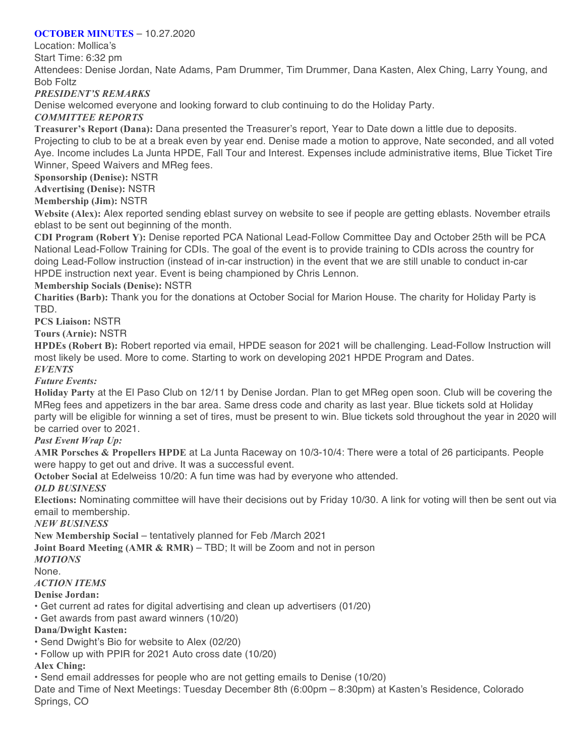### **OCTOBER MINUTES** – 10.27.2020

Location: Mollica's

Start Time: 6:32 pm

Attendees: Denise Jordan, Nate Adams, Pam Drummer, Tim Drummer, Dana Kasten, Alex Ching, Larry Young, and Bob Foltz

*PRESIDENT'S REMARKS*

Denise welcomed everyone and looking forward to club continuing to do the Holiday Party.

### *COMMITTEE REPORTS*

**Treasurer's Report (Dana):** Dana presented the Treasurer's report, Year to Date down a little due to deposits.

Projecting to club to be at a break even by year end. Denise made a motion to approve, Nate seconded, and all voted Aye. Income includes La Junta HPDE, Fall Tour and Interest. Expenses include administrative items, Blue Ticket Tire Winner, Speed Waivers and MReg fees.

**Sponsorship (Denise):** NSTR

**Advertising (Denise):** NSTR

**Membership (Jim):** NSTR

**Website (Alex):** Alex reported sending eblast survey on website to see if people are getting eblasts. November etrails eblast to be sent out beginning of the month.

**CDI Program (Robert Y):** Denise reported PCA National Lead-Follow Committee Day and October 25th will be PCA National Lead-Follow Training for CDIs. The goal of the event is to provide training to CDIs across the country for doing Lead-Follow instruction (instead of in-car instruction) in the event that we are still unable to conduct in-car HPDE instruction next year. Event is being championed by Chris Lennon.

### **Membership Socials (Denise):** NSTR

**Charities (Barb):** Thank you for the donations at October Social for Marion House. The charity for Holiday Party is TBD.

**PCS Liaison:** NSTR

**Tours (Arnie):** NSTR

**HPDEs (Robert B):** Robert reported via email, HPDE season for 2021 will be challenging. Lead-Follow Instruction will most likely be used. More to come. Starting to work on developing 2021 HPDE Program and Dates. *EVENTS*

*Future Events:*

**Holiday Party** at the El Paso Club on 12/11 by Denise Jordan. Plan to get MReg open soon. Club will be covering the MReg fees and appetizers in the bar area. Same dress code and charity as last year. Blue tickets sold at Holiday party will be eligible for winning a set of tires, must be present to win. Blue tickets sold throughout the year in 2020 will be carried over to 2021.

# *Past Event Wrap Up:*

**AMR Porsches & Propellers HPDE** at La Junta Raceway on 10/3-10/4: There were a total of 26 participants. People were happy to get out and drive. It was a successful event.

**October Social** at Edelweiss 10/20: A fun time was had by everyone who attended.

#### *OLD BUSINESS*

**Elections:** Nominating committee will have their decisions out by Friday 10/30. A link for voting will then be sent out via email to membership.

*NEW BUSINESS*

**New Membership Social** – tentatively planned for Feb /March 2021

**Joint Board Meeting (AMR & RMR)** – TBD; It will be Zoom and not in person

#### *MOTIONS*

None.

# *ACTION ITEMS*

#### **Denise Jordan:**

- Get current ad rates for digital advertising and clean up advertisers (01/20)
- Get awards from past award winners (10/20)

# **Dana/Dwight Kasten:**

• Send Dwight's Bio for website to Alex (02/20)

• Follow up with PPIR for 2021 Auto cross date (10/20)

# **Alex Ching:**

• Send email addresses for people who are not getting emails to Denise (10/20)

Date and Time of Next Meetings: Tuesday December 8th (6:00pm – 8:30pm) at Kasten's Residence, Colorado Springs, CO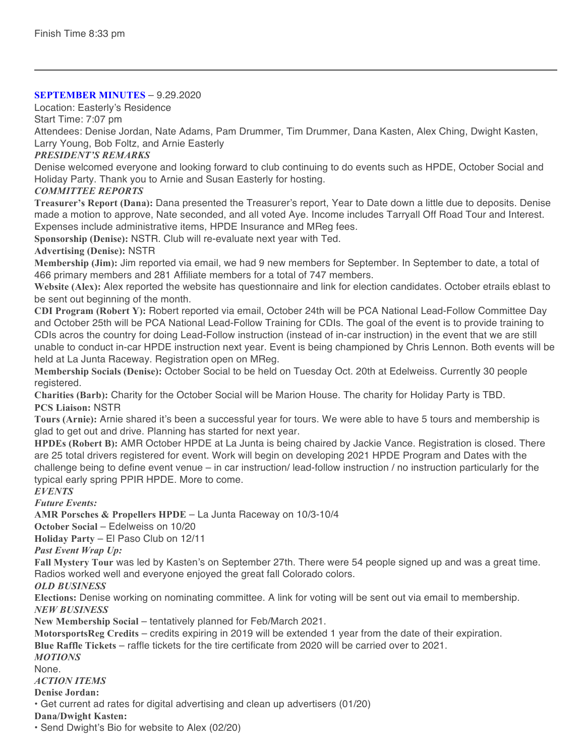### **SEPTEMBER MINUTES** – 9.29.2020

Location: Easterly's Residence

Start Time: 7:07 pm

Attendees: Denise Jordan, Nate Adams, Pam Drummer, Tim Drummer, Dana Kasten, Alex Ching, Dwight Kasten, Larry Young, Bob Foltz, and Arnie Easterly

# *PRESIDENT'S REMARKS*

Denise welcomed everyone and looking forward to club continuing to do events such as HPDE, October Social and Holiday Party. Thank you to Arnie and Susan Easterly for hosting.

### *COMMITTEE REPORTS*

**Treasurer's Report (Dana):** Dana presented the Treasurer's report, Year to Date down a little due to deposits. Denise made a motion to approve, Nate seconded, and all voted Aye. Income includes Tarryall Off Road Tour and Interest. Expenses include administrative items, HPDE Insurance and MReg fees.

**Sponsorship (Denise):** NSTR. Club will re-evaluate next year with Ted.

### **Advertising (Denise):** NSTR

**Membership (Jim):** Jim reported via email, we had 9 new members for September. In September to date, a total of 466 primary members and 281 Affiliate members for a total of 747 members.

**Website (Alex):** Alex reported the website has questionnaire and link for election candidates. October etrails eblast to be sent out beginning of the month.

**CDI Program (Robert Y):** Robert reported via email, October 24th will be PCA National Lead-Follow Committee Day and October 25th will be PCA National Lead-Follow Training for CDIs. The goal of the event is to provide training to CDIs acros the country for doing Lead-Follow instruction (instead of in-car instruction) in the event that we are still unable to conduct in-car HPDE instruction next year. Event is being championed by Chris Lennon. Both events will be held at La Junta Raceway. Registration open on MReg.

**Membership Socials (Denise):** October Social to be held on Tuesday Oct. 20th at Edelweiss. Currently 30 people registered.

**Charities (Barb):** Charity for the October Social will be Marion House. The charity for Holiday Party is TBD. **PCS Liaison:** NSTR

**Tours (Arnie):** Arnie shared it's been a successful year for tours. We were able to have 5 tours and membership is glad to get out and drive. Planning has started for next year.

**HPDEs (Robert B):** AMR October HPDE at La Junta is being chaired by Jackie Vance. Registration is closed. There are 25 total drivers registered for event. Work will begin on developing 2021 HPDE Program and Dates with the challenge being to define event venue – in car instruction/ lead-follow instruction / no instruction particularly for the typical early spring PPIR HPDE. More to come.

# *EVENTS*

*Future Events:*

**AMR Porsches & Propellers HPDE** – La Junta Raceway on 10/3-10/4

**October Social** – Edelweiss on 10/20

**Holiday Party** – El Paso Club on 12/11

*Past Event Wrap Up:*

**Fall Mystery Tour** was led by Kasten's on September 27th. There were 54 people signed up and was a great time. Radios worked well and everyone enjoyed the great fall Colorado colors.

*OLD BUSINESS*

**Elections:** Denise working on nominating committee. A link for voting will be sent out via email to membership. *NEW BUSINESS*

**New Membership Social** – tentatively planned for Feb/March 2021.

**MotorsportsReg Credits** – credits expiring in 2019 will be extended 1 year from the date of their expiration.

**Blue Raffle Tickets** – raffle tickets for the tire certificate from 2020 will be carried over to 2021.

#### *MOTIONS*

None.

# *ACTION ITEMS*

**Denise Jordan:**

• Get current ad rates for digital advertising and clean up advertisers (01/20)

**Dana/Dwight Kasten:**

• Send Dwight's Bio for website to Alex (02/20)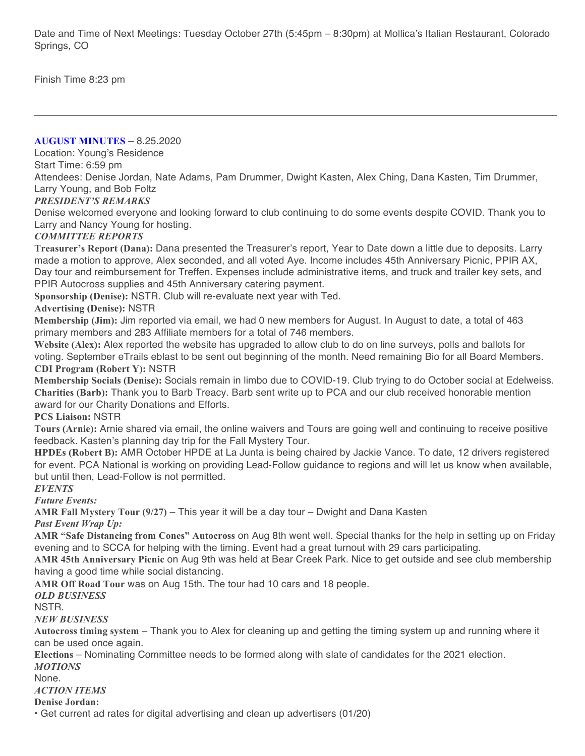Date and Time of Next Meetings: Tuesday October 27th (5:45pm – 8:30pm) at Mollica's Italian Restaurant, Colorado Springs, CO

Finish Time 8:23 pm

**AUGUST MINUTES** – 8.25.2020

Location: Young's Residence

Start Time: 6:59 pm

Attendees: Denise Jordan, Nate Adams, Pam Drummer, Dwight Kasten, Alex Ching, Dana Kasten, Tim Drummer, Larry Young, and Bob Foltz

# *PRESIDENT'S REMARKS*

Denise welcomed everyone and looking forward to club continuing to do some events despite COVID. Thank you to Larry and Nancy Young for hosting.

### *COMMITTEE REPORTS*

**Treasurer's Report (Dana):** Dana presented the Treasurer's report, Year to Date down a little due to deposits. Larry made a motion to approve, Alex seconded, and all voted Aye. Income includes 45th Anniversary Picnic, PPIR AX, Day tour and reimbursement for Treffen. Expenses include administrative items, and truck and trailer key sets, and PPIR Autocross supplies and 45th Anniversary catering payment.

**Sponsorship (Denise):** NSTR. Club will re-evaluate next year with Ted.

**Advertising (Denise):** NSTR

**Membership (Jim):** Jim reported via email, we had 0 new members for August. In August to date, a total of 463 primary members and 283 Affiliate members for a total of 746 members.

**Website (Alex):** Alex reported the website has upgraded to allow club to do on line surveys, polls and ballots for voting. September eTrails eblast to be sent out beginning of the month. Need remaining Bio for all Board Members. **CDI Program (Robert Y):** NSTR

**Membership Socials (Denise):** Socials remain in limbo due to COVID-19. Club trying to do October social at Edelweiss. **Charities (Barb):** Thank you to Barb Treacy. Barb sent write up to PCA and our club received honorable mention award for our Charity Donations and Efforts.

**PCS Liaison:** NSTR

**Tours (Arnie):** Arnie shared via email, the online waivers and Tours are going well and continuing to receive positive feedback. Kasten's planning day trip for the Fall Mystery Tour.

**HPDEs (Robert B):** AMR October HPDE at La Junta is being chaired by Jackie Vance. To date, 12 drivers registered for event. PCA National is working on providing Lead-Follow guidance to regions and will let us know when available, but until then, Lead-Follow is not permitted.

*EVENTS*

*Future Events:*

**AMR Fall Mystery Tour (9/27)** – This year it will be a day tour – Dwight and Dana Kasten

*Past Event Wrap Up:*

**AMR "Safe Distancing from Cones" Autocross** on Aug 8th went well. Special thanks for the help in setting up on Friday evening and to SCCA for helping with the timing. Event had a great turnout with 29 cars participating.

**AMR 45th Anniversary Picnic** on Aug 9th was held at Bear Creek Park. Nice to get outside and see club membership having a good time while social distancing.

**AMR Off Road Tour** was on Aug 15th. The tour had 10 cars and 18 people.

#### *OLD BUSINESS*

NSTR.

*NEW BUSINESS*

**Autocross timing system** – Thank you to Alex for cleaning up and getting the timing system up and running where it can be used once again.

**Elections** – Nominating Committee needs to be formed along with slate of candidates for the 2021 election. *MOTIONS*

None.

#### *ACTION ITEMS*

**Denise Jordan:**

• Get current ad rates for digital advertising and clean up advertisers (01/20)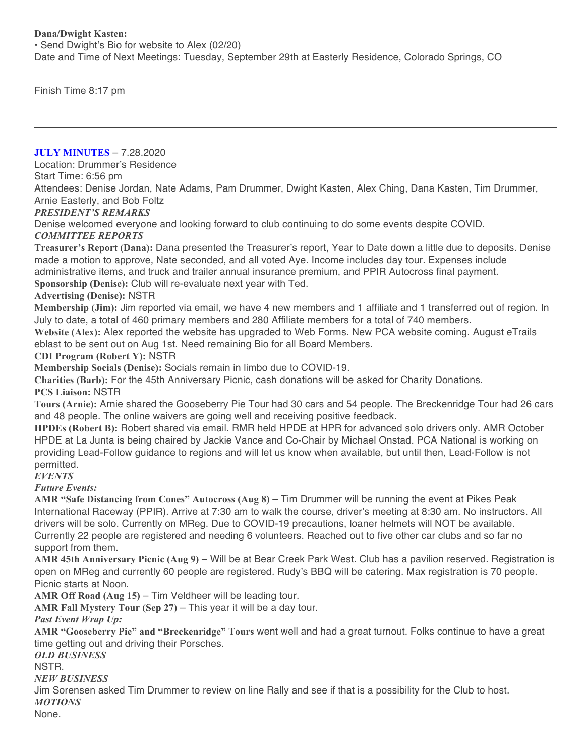### **Dana/Dwight Kasten:**

• Send Dwight's Bio for website to Alex (02/20) Date and Time of Next Meetings: Tuesday, September 29th at Easterly Residence, Colorado Springs, CO

Finish Time 8:17 pm

**JULY MINUTES** – 7.28.2020

Location: Drummer's Residence

Start Time: 6:56 pm

Attendees: Denise Jordan, Nate Adams, Pam Drummer, Dwight Kasten, Alex Ching, Dana Kasten, Tim Drummer, Arnie Easterly, and Bob Foltz

### *PRESIDENT'S REMARKS*

Denise welcomed everyone and looking forward to club continuing to do some events despite COVID. *COMMITTEE REPORTS*

**Treasurer's Report (Dana):** Dana presented the Treasurer's report, Year to Date down a little due to deposits. Denise made a motion to approve, Nate seconded, and all voted Aye. Income includes day tour. Expenses include administrative items, and truck and trailer annual insurance premium, and PPIR Autocross final payment.

**Sponsorship (Denise):** Club will re-evaluate next year with Ted.

#### **Advertising (Denise):** NSTR

**Membership (Jim):** Jim reported via email, we have 4 new members and 1 affiliate and 1 transferred out of region. In July to date, a total of 460 primary members and 280 Affiliate members for a total of 740 members.

**Website (Alex):** Alex reported the website has upgraded to Web Forms. New PCA website coming. August eTrails eblast to be sent out on Aug 1st. Need remaining Bio for all Board Members.

#### **CDI Program (Robert Y):** NSTR

**Membership Socials (Denise):** Socials remain in limbo due to COVID-19.

**Charities (Barb):** For the 45th Anniversary Picnic, cash donations will be asked for Charity Donations. **PCS Liaison:** NSTR

**Tours (Arnie):** Arnie shared the Gooseberry Pie Tour had 30 cars and 54 people. The Breckenridge Tour had 26 cars and 48 people. The online waivers are going well and receiving positive feedback.

**HPDEs (Robert B):** Robert shared via email. RMR held HPDE at HPR for advanced solo drivers only. AMR October HPDE at La Junta is being chaired by Jackie Vance and Co-Chair by Michael Onstad. PCA National is working on providing Lead-Follow guidance to regions and will let us know when available, but until then, Lead-Follow is not permitted.

#### *EVENTS*

*Future Events:*

**AMR "Safe Distancing from Cones" Autocross (Aug 8)** – Tim Drummer will be running the event at Pikes Peak International Raceway (PPIR). Arrive at 7:30 am to walk the course, driver's meeting at 8:30 am. No instructors. All drivers will be solo. Currently on MReg. Due to COVID-19 precautions, loaner helmets will NOT be available. Currently 22 people are registered and needing 6 volunteers. Reached out to five other car clubs and so far no support from them.

**AMR 45th Anniversary Picnic (Aug 9)** – Will be at Bear Creek Park West. Club has a pavilion reserved. Registration is open on MReg and currently 60 people are registered. Rudy's BBQ will be catering. Max registration is 70 people. Picnic starts at Noon.

**AMR Off Road (Aug 15)** – Tim Veldheer will be leading tour.

**AMR Fall Mystery Tour (Sep 27)** – This year it will be a day tour.

#### *Past Event Wrap Up:*

**AMR "Gooseberry Pie" and "Breckenridge" Tours** went well and had a great turnout. Folks continue to have a great time getting out and driving their Porsches.

*OLD BUSINESS*

NSTR.

*NEW BUSINESS*

Jim Sorensen asked Tim Drummer to review on line Rally and see if that is a possibility for the Club to host. *MOTIONS*

None.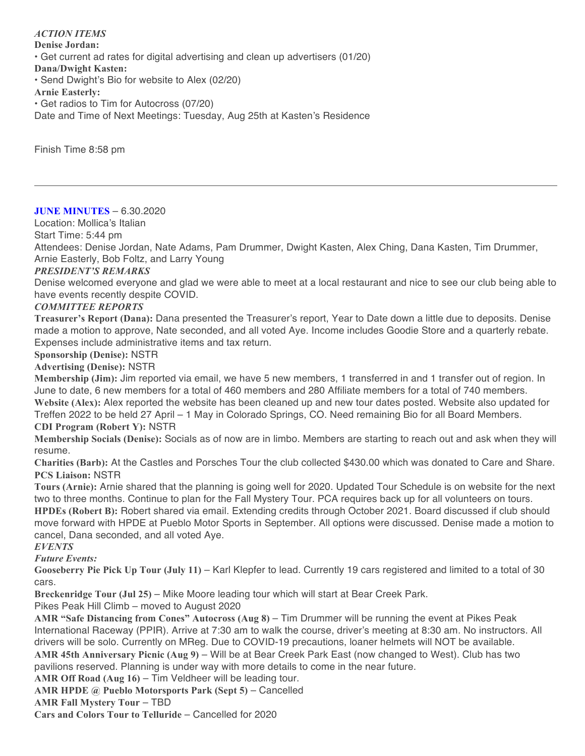*ACTION ITEMS* **Denise Jordan:** • Get current ad rates for digital advertising and clean up advertisers (01/20) **Dana/Dwight Kasten:** • Send Dwight's Bio for website to Alex (02/20) **Arnie Easterly:** • Get radios to Tim for Autocross (07/20) Date and Time of Next Meetings: Tuesday, Aug 25th at Kasten's Residence

Finish Time 8:58 pm

**JUNE MINUTES** – 6.30.2020 Location: Mollica's Italian Start Time: 5:44 pm Attendees: Denise Jordan, Nate Adams, Pam Drummer, Dwight Kasten, Alex Ching, Dana Kasten, Tim Drummer, Arnie Easterly, Bob Foltz, and Larry Young

### *PRESIDENT'S REMARKS*

Denise welcomed everyone and glad we were able to meet at a local restaurant and nice to see our club being able to have events recently despite COVID.

#### *COMMITTEE REPORTS*

**Treasurer's Report (Dana):** Dana presented the Treasurer's report, Year to Date down a little due to deposits. Denise made a motion to approve, Nate seconded, and all voted Aye. Income includes Goodie Store and a quarterly rebate. Expenses include administrative items and tax return.

**Sponsorship (Denise):** NSTR

**Advertising (Denise):** NSTR

**Membership (Jim):** Jim reported via email, we have 5 new members, 1 transferred in and 1 transfer out of region. In June to date, 6 new members for a total of 460 members and 280 Affiliate members for a total of 740 members. **Website (Alex):** Alex reported the website has been cleaned up and new tour dates posted. Website also updated for Treffen 2022 to be held 27 April – 1 May in Colorado Springs, CO. Need remaining Bio for all Board Members. **CDI Program (Robert Y):** NSTR

**Membership Socials (Denise):** Socials as of now are in limbo. Members are starting to reach out and ask when they will resume.

**Charities (Barb):** At the Castles and Porsches Tour the club collected \$430.00 which was donated to Care and Share. **PCS Liaison:** NSTR

**Tours (Arnie):** Arnie shared that the planning is going well for 2020. Updated Tour Schedule is on website for the next two to three months. Continue to plan for the Fall Mystery Tour. PCA requires back up for all volunteers on tours. **HPDEs (Robert B):** Robert shared via email. Extending credits through October 2021. Board discussed if club should move forward with HPDE at Pueblo Motor Sports in September. All options were discussed. Denise made a motion to cancel, Dana seconded, and all voted Aye.

*EVENTS*

*Future Events:*

**Gooseberry Pie Pick Up Tour (July 11)** – Karl Klepfer to lead. Currently 19 cars registered and limited to a total of 30 cars.

**Breckenridge Tour (Jul 25)** – Mike Moore leading tour which will start at Bear Creek Park.

Pikes Peak Hill Climb – moved to August 2020

**AMR "Safe Distancing from Cones" Autocross (Aug 8)** – Tim Drummer will be running the event at Pikes Peak International Raceway (PPIR). Arrive at 7:30 am to walk the course, driver's meeting at 8:30 am. No instructors. All drivers will be solo. Currently on MReg. Due to COVID-19 precautions, loaner helmets will NOT be available. **AMR 45th Anniversary Picnic (Aug 9)** – Will be at Bear Creek Park East (now changed to West). Club has two pavilions reserved. Planning is under way with more details to come in the near future.

**AMR Off Road (Aug 16)** – Tim Veldheer will be leading tour.

**AMR HPDE @ Pueblo Motorsports Park (Sept 5)** – Cancelled

**AMR Fall Mystery Tour** – TBD

**Cars and Colors Tour to Telluride** – Cancelled for 2020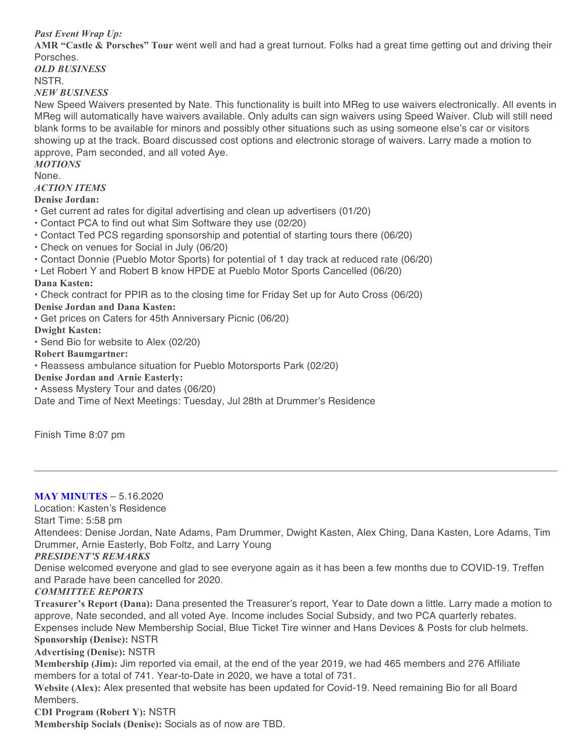*Past Event Wrap Up:*

**AMR "Castle & Porsches" Tour** went well and had a great turnout. Folks had a great time getting out and driving their Porsches.

*OLD BUSINESS*

NSTR.

*NEW BUSINESS*

New Speed Waivers presented by Nate. This functionality is built into MReg to use waivers electronically. All events in MReg will automatically have waivers available. Only adults can sign waivers using Speed Waiver. Club will still need blank forms to be available for minors and possibly other situations such as using someone else's car or visitors showing up at the track. Board discussed cost options and electronic storage of waivers. Larry made a motion to approve, Pam seconded, and all voted Aye.

*MOTIONS*

None.

*ACTION ITEMS*

**Denise Jordan:**

- Get current ad rates for digital advertising and clean up advertisers (01/20)
- Contact PCA to find out what Sim Software they use (02/20)
- Contact Ted PCS regarding sponsorship and potential of starting tours there (06/20)
- Check on venues for Social in July (06/20)
- Contact Donnie (Pueblo Motor Sports) for potential of 1 day track at reduced rate (06/20)
- Let Robert Y and Robert B know HPDE at Pueblo Motor Sports Cancelled (06/20)

#### **Dana Kasten:**

• Check contract for PPIR as to the closing time for Friday Set up for Auto Cross (06/20)

**Denise Jordan and Dana Kasten:**

• Get prices on Caters for 45th Anniversary Picnic (06/20)

**Dwight Kasten:**

• Send Bio for website to Alex (02/20)

**Robert Baumgartner:**

• Reassess ambulance situation for Pueblo Motorsports Park (02/20)

**Denise Jordan and Arnie Easterly:**

• Assess Mystery Tour and dates (06/20)

Date and Time of Next Meetings: Tuesday, Jul 28th at Drummer's Residence

Finish Time 8:07 pm

# **MAY MINUTES** – 5.16.2020

Location: Kasten's Residence

Start Time: 5:58 pm

Attendees: Denise Jordan, Nate Adams, Pam Drummer, Dwight Kasten, Alex Ching, Dana Kasten, Lore Adams, Tim Drummer, Arnie Easterly, Bob Foltz, and Larry Young

#### *PRESIDENT'S REMARKS*

Denise welcomed everyone and glad to see everyone again as it has been a few months due to COVID-19. Treffen and Parade have been cancelled for 2020.

#### *COMMITTEE REPORTS*

**Treasurer's Report (Dana):** Dana presented the Treasurer's report, Year to Date down a little. Larry made a motion to approve, Nate seconded, and all voted Aye. Income includes Social Subsidy, and two PCA quarterly rebates. Expenses include New Membership Social, Blue Ticket Tire winner and Hans Devices & Posts for club helmets. **Sponsorship (Denise):** NSTR

**Advertising (Denise):** NSTR

**Membership (Jim):** Jim reported via email, at the end of the year 2019, we had 465 members and 276 Affiliate members for a total of 741. Year-to-Date in 2020, we have a total of 731.

**Website (Alex):** Alex presented that website has been updated for Covid-19. Need remaining Bio for all Board Members.

**CDI Program (Robert Y):** NSTR

**Membership Socials (Denise):** Socials as of now are TBD.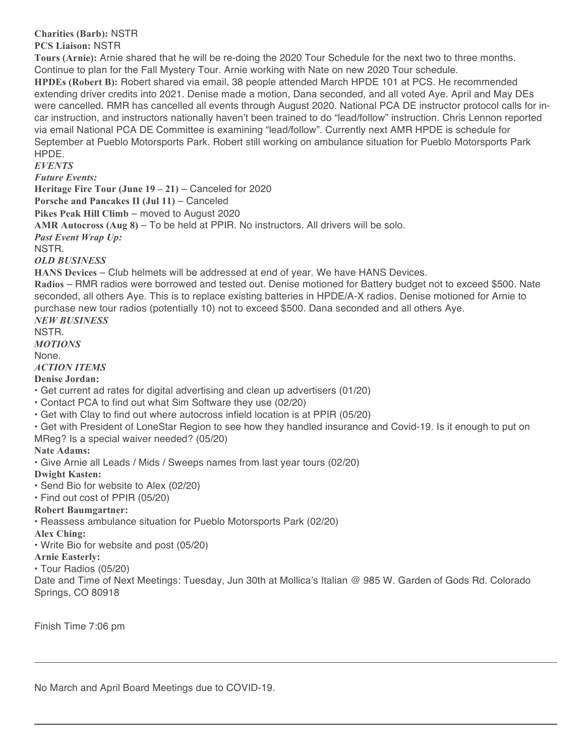**Charities (Barb):** NSTR **PCS Liaison:** NSTR

**Tours (Arnie):** Arnie shared that he will be re-doing the 2020 Tour Schedule for the next two to three months. Continue to plan for the Fall Mystery Tour. Arnie working with Nate on new 2020 Tour schedule. **HPDEs (Robert B):** Robert shared via email, 38 people attended March HPDE 101 at PCS. He recommended extending driver credits into 2021. Denise made a motion, Dana seconded, and all voted Aye. April and May DEs were cancelled. RMR has cancelled all events through August 2020. National PCA DE instructor protocol calls for incar instruction, and instructors nationally haven't been trained to do "lead/follow" instruction. Chris Lennon reported via email National PCA DE Committee is examining "lead/follow". Currently next AMR HPDE is schedule for September at Pueblo Motorsports Park. Robert still working on ambulance situation for Pueblo Motorsports Park HPDE.

*EVENTS*

*Future Events:*

**Heritage Fire Tour (June 19 – 21)** – Canceled for 2020

**Porsche and Pancakes II (Jul 11)** – Canceled

**Pikes Peak Hill Climb** – moved to August 2020

**AMR Autocross (Aug 8)** – To be held at PPIR. No instructors. All drivers will be solo.

*Past Event Wrap Up:*

NSTR.

*OLD BUSINESS*

**HANS Devices** – Club helmets will be addressed at end of year. We have HANS Devices.

**Radios** – RMR radios were borrowed and tested out. Denise motioned for Battery budget not to exceed \$500. Nate seconded, all others Aye. This is to replace existing batteries in HPDE/A-X radios. Denise motioned for Arnie to purchase new tour radios (potentially 10) not to exceed \$500. Dana seconded and all others Aye. *NEW BUSINESS*

NSTR.

*MOTIONS* None.

*ACTION ITEMS*

### **Denise Jordan:**

• Get current ad rates for digital advertising and clean up advertisers (01/20)

- Contact PCA to find out what Sim Software they use (02/20)
- Get with Clay to find out where autocross infield location is at PPIR (05/20)
- Get with President of LoneStar Region to see how they handled insurance and Covid-19. Is it enough to put on
- MReg? Is a special waiver needed? (05/20)

# **Nate Adams:**

• Give Arnie all Leads / Mids / Sweeps names from last year tours (02/20)

**Dwight Kasten:**

• Send Bio for website to Alex (02/20)

• Find out cost of PPIR (05/20)

# **Robert Baumgartner:**

• Reassess ambulance situation for Pueblo Motorsports Park (02/20)

#### **Alex Ching:**

• Write Bio for website and post (05/20)

### **Arnie Easterly:**

• Tour Radios (05/20)

Date and Time of Next Meetings: Tuesday, Jun 30th at Mollica's Italian @ 985 W. Garden of Gods Rd. Colorado Springs, CO 80918

Finish Time 7:06 pm

No March and April Board Meetings due to COVID-19.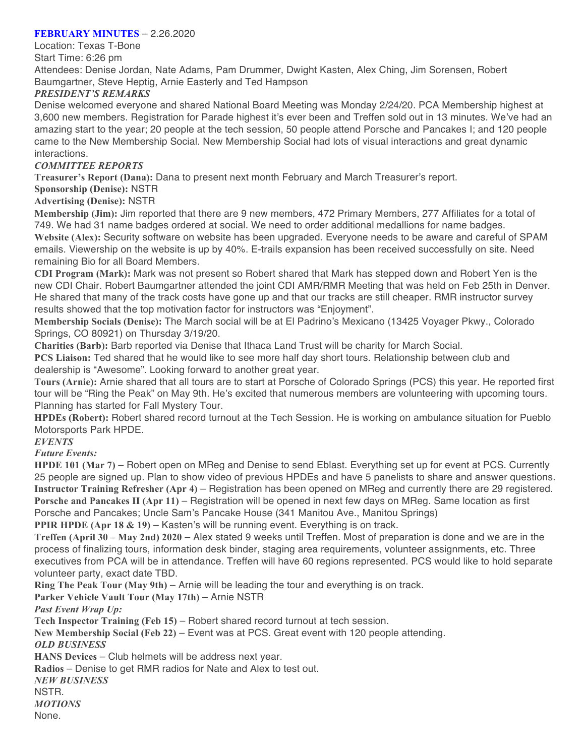### **FEBRUARY MINUTES** – 2.26.2020

Location: Texas T-Bone Start Time: 6:26 pm

Attendees: Denise Jordan, Nate Adams, Pam Drummer, Dwight Kasten, Alex Ching, Jim Sorensen, Robert Baumgartner, Steve Heptig, Arnie Easterly and Ted Hampson

# *PRESIDENT'S REMARKS*

Denise welcomed everyone and shared National Board Meeting was Monday 2/24/20. PCA Membership highest at 3,600 new members. Registration for Parade highest it's ever been and Treffen sold out in 13 minutes. We've had an amazing start to the year; 20 people at the tech session, 50 people attend Porsche and Pancakes I; and 120 people came to the New Membership Social. New Membership Social had lots of visual interactions and great dynamic interactions.

# *COMMITTEE REPORTS*

**Treasurer's Report (Dana):** Dana to present next month February and March Treasurer's report.

**Sponsorship (Denise):** NSTR

**Advertising (Denise):** NSTR

**Membership (Jim):** Jim reported that there are 9 new members, 472 Primary Members, 277 Affiliates for a total of 749. We had 31 name badges ordered at social. We need to order additional medallions for name badges. **Website (Alex):** Security software on website has been upgraded. Everyone needs to be aware and careful of SPAM emails. Viewership on the website is up by 40%. E-trails expansion has been received successfully on site. Need remaining Bio for all Board Members.

**CDI Program (Mark):** Mark was not present so Robert shared that Mark has stepped down and Robert Yen is the new CDI Chair. Robert Baumgartner attended the joint CDI AMR/RMR Meeting that was held on Feb 25th in Denver. He shared that many of the track costs have gone up and that our tracks are still cheaper. RMR instructor survey results showed that the top motivation factor for instructors was "Enjoyment".

**Membership Socials (Denise):** The March social will be at El Padrino's Mexicano (13425 Voyager Pkwy., Colorado Springs, CO 80921) on Thursday 3/19/20.

**Charities (Barb):** Barb reported via Denise that Ithaca Land Trust will be charity for March Social.

**PCS Liaison:** Ted shared that he would like to see more half day short tours. Relationship between club and dealership is "Awesome". Looking forward to another great year.

**Tours (Arnie):** Arnie shared that all tours are to start at Porsche of Colorado Springs (PCS) this year. He reported first tour will be "Ring the Peak" on May 9th. He's excited that numerous members are volunteering with upcoming tours. Planning has started for Fall Mystery Tour.

**HPDEs (Robert):** Robert shared record turnout at the Tech Session. He is working on ambulance situation for Pueblo Motorsports Park HPDE.

*EVENTS*

*Future Events:*

**HPDE 101 (Mar 7)** – Robert open on MReg and Denise to send Eblast. Everything set up for event at PCS. Currently 25 people are signed up. Plan to show video of previous HPDEs and have 5 panelists to share and answer questions. **Instructor Training Refresher (Apr 4)** – Registration has been opened on MReg and currently there are 29 registered. **Porsche and Pancakes II (Apr 11)** – Registration will be opened in next few days on MReg. Same location as first Porsche and Pancakes; Uncle Sam's Pancake House (341 Manitou Ave., Manitou Springs)

**PPIR HPDE (Apr 18 & 19)** – Kasten's will be running event. Everything is on track.

**Treffen (April 30 – May 2nd) 2020** – Alex stated 9 weeks until Treffen. Most of preparation is done and we are in the process of finalizing tours, information desk binder, staging area requirements, volunteer assignments, etc. Three executives from PCA will be in attendance. Treffen will have 60 regions represented. PCS would like to hold separate volunteer party, exact date TBD.

**Ring The Peak Tour (May 9th)** – Arnie will be leading the tour and everything is on track.

**Parker Vehicle Vault Tour (May 17th)** – Arnie NSTR

*Past Event Wrap Up:*

**Tech Inspector Training (Feb 15)** – Robert shared record turnout at tech session.

**New Membership Social (Feb 22)** – Event was at PCS. Great event with 120 people attending. *OLD BUSINESS*

**HANS Devices** – Club helmets will be address next year.

**Radios** – Denise to get RMR radios for Nate and Alex to test out.

*NEW BUSINESS* NSTR.

*MOTIONS* None.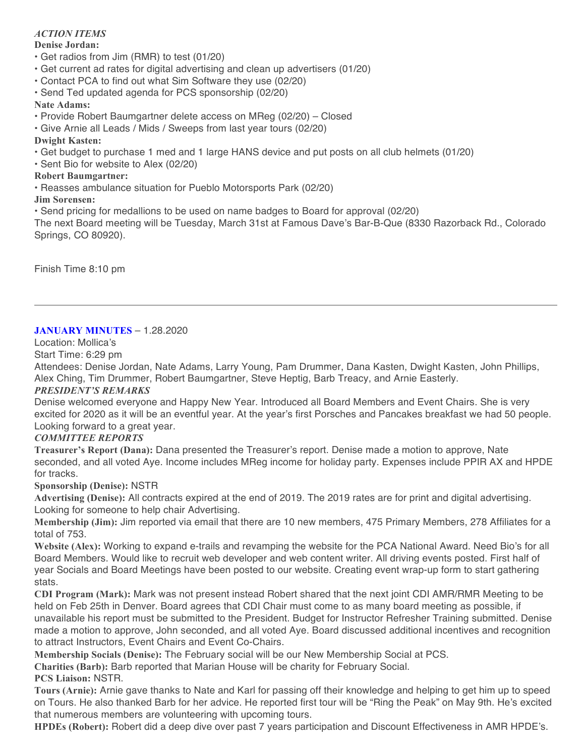# *ACTION ITEMS*

#### **Denise Jordan:**

- Get radios from Jim (RMR) to test (01/20)
- Get current ad rates for digital advertising and clean up advertisers (01/20)
- Contact PCA to find out what Sim Software they use (02/20)
- Send Ted updated agenda for PCS sponsorship (02/20)

### **Nate Adams:**

- Provide Robert Baumgartner delete access on MReg (02/20) Closed
- Give Arnie all Leads / Mids / Sweeps from last year tours (02/20)

### **Dwight Kasten:**

- Get budget to purchase 1 med and 1 large HANS device and put posts on all club helmets (01/20)
- Sent Bio for website to Alex (02/20)

### **Robert Baumgartner:**

• Reasses ambulance situation for Pueblo Motorsports Park (02/20)

#### **Jim Sorensen:**

• Send pricing for medallions to be used on name badges to Board for approval (02/20)

The next Board meeting will be Tuesday, March 31st at Famous Dave's Bar-B-Que (8330 Razorback Rd., Colorado Springs, CO 80920).

Finish Time 8:10 pm

### **JANUARY MINUTES** – 1.28.2020

Location: Mollica's

Start Time: 6:29 pm

Attendees: Denise Jordan, Nate Adams, Larry Young, Pam Drummer, Dana Kasten, Dwight Kasten, John Phillips, Alex Ching, Tim Drummer, Robert Baumgartner, Steve Heptig, Barb Treacy, and Arnie Easterly.

#### *PRESIDENT'S REMARKS*

Denise welcomed everyone and Happy New Year. Introduced all Board Members and Event Chairs. She is very excited for 2020 as it will be an eventful year. At the year's first Porsches and Pancakes breakfast we had 50 people. Looking forward to a great year.

# *COMMITTEE REPORTS*

**Treasurer's Report (Dana):** Dana presented the Treasurer's report. Denise made a motion to approve, Nate seconded, and all voted Aye. Income includes MReg income for holiday party. Expenses include PPIR AX and HPDE for tracks.

#### **Sponsorship (Denise):** NSTR

**Advertising (Denise):** All contracts expired at the end of 2019. The 2019 rates are for print and digital advertising. Looking for someone to help chair Advertising.

**Membership (Jim):** Jim reported via email that there are 10 new members, 475 Primary Members, 278 Affiliates for a total of 753.

**Website (Alex):** Working to expand e-trails and revamping the website for the PCA National Award. Need Bio's for all Board Members. Would like to recruit web developer and web content writer. All driving events posted. First half of year Socials and Board Meetings have been posted to our website. Creating event wrap-up form to start gathering stats.

**CDI Program (Mark):** Mark was not present instead Robert shared that the next joint CDI AMR/RMR Meeting to be held on Feb 25th in Denver. Board agrees that CDI Chair must come to as many board meeting as possible, if unavailable his report must be submitted to the President. Budget for Instructor Refresher Training submitted. Denise made a motion to approve, John seconded, and all voted Aye. Board discussed additional incentives and recognition to attract Instructors, Event Chairs and Event Co-Chairs.

**Membership Socials (Denise):** The February social will be our New Membership Social at PCS.

**Charities (Barb):** Barb reported that Marian House will be charity for February Social.

**PCS Liaison:** NSTR.

**Tours (Arnie):** Arnie gave thanks to Nate and Karl for passing off their knowledge and helping to get him up to speed on Tours. He also thanked Barb for her advice. He reported first tour will be "Ring the Peak" on May 9th. He's excited that numerous members are volunteering with upcoming tours.

**HPDEs (Robert):** Robert did a deep dive over past 7 years participation and Discount Effectiveness in AMR HPDE's.